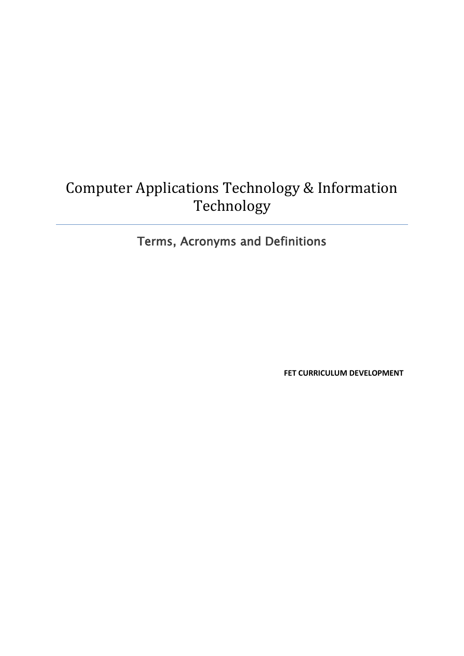## Computer Applications Technology & Information Technology

## Terms, Acronyms and Definitions

**FET CURRICULUM DEVELOPMENT**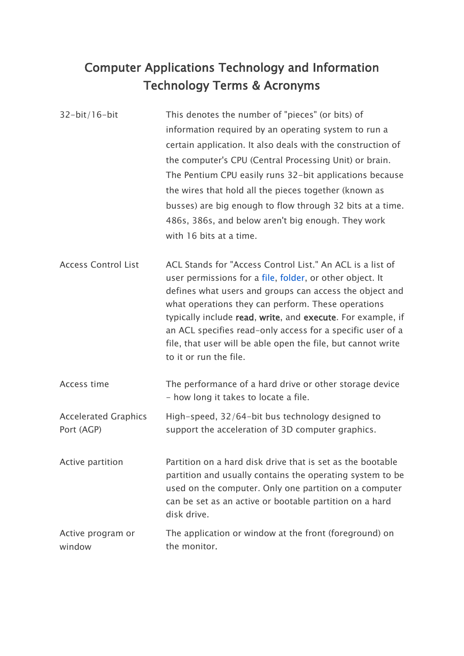## Computer Applications Technology and Information Technology Terms & Acronyms

32-bit/16-bit This denotes the number of "pieces" (or bits) of information required by an operating system to run a certain application. It also deals with the construction of the computer's CPU (Central Processing Unit) or brain. The Pentium CPU easily runs 32-bit applications because the wires that hold all the pieces together (known as busses) are big enough to flow through 32 bits at a time. 486s, 386s, and below aren't big enough. They work with 16 bits at a time.

Access Control List ACL Stands for "Access Control List." An ACL is a list of user permissions for a [file,](http://www.techterms.com/definition/file) [folder,](http://www.techterms.com/definition/folder) or other object. It defines what users and groups can access the object and what operations they can perform. These operations typically include read, write, and execute. For example, if an ACL specifies read-only access for a specific user of a file, that user will be able open the file, but cannot write to it or run the file.

| Access time                               | The performance of a hard drive or other storage device<br>- how long it takes to locate a file.                                                                                                                                             |
|-------------------------------------------|----------------------------------------------------------------------------------------------------------------------------------------------------------------------------------------------------------------------------------------------|
| <b>Accelerated Graphics</b><br>Port (AGP) | High-speed, 32/64-bit bus technology designed to<br>support the acceleration of 3D computer graphics.                                                                                                                                        |
| Active partition                          | Partition on a hard disk drive that is set as the bootable<br>partition and usually contains the operating system to be<br>used on the computer. Only one partition on a computer<br>can be set as an active or bootable partition on a hard |

Active program or window The application or window at the front (foreground) on the monitor.

disk drive.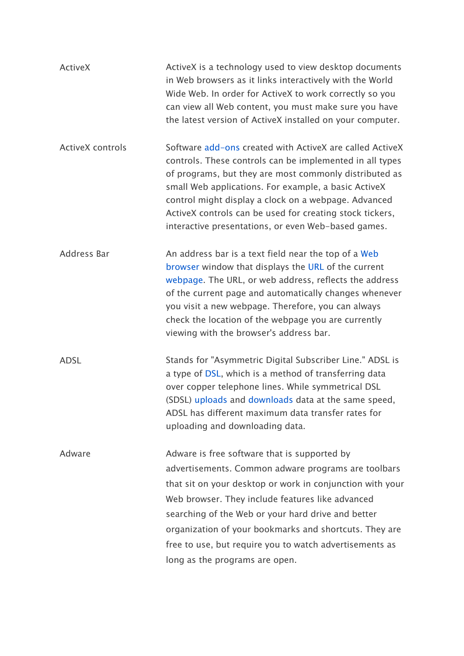| <b>ActiveX</b>          | ActiveX is a technology used to view desktop documents<br>in Web browsers as it links interactively with the World<br>Wide Web. In order for ActiveX to work correctly so you<br>can view all Web content, you must make sure you have<br>the latest version of ActiveX installed on your computer.                                                                                                                               |
|-------------------------|-----------------------------------------------------------------------------------------------------------------------------------------------------------------------------------------------------------------------------------------------------------------------------------------------------------------------------------------------------------------------------------------------------------------------------------|
| <b>ActiveX</b> controls | Software add-ons created with ActiveX are called ActiveX<br>controls. These controls can be implemented in all types<br>of programs, but they are most commonly distributed as<br>small Web applications. For example, a basic ActiveX<br>control might display a clock on a webpage. Advanced<br>ActiveX controls can be used for creating stock tickers,<br>interactive presentations, or even Web-based games.                 |
| Address Bar             | An address bar is a text field near the top of a Web<br>browser window that displays the URL of the current<br>webpage. The URL, or web address, reflects the address<br>of the current page and automatically changes whenever<br>you visit a new webpage. Therefore, you can always<br>check the location of the webpage you are currently<br>viewing with the browser's address bar.                                           |
| <b>ADSL</b>             | Stands for "Asymmetric Digital Subscriber Line." ADSL is<br>a type of DSL, which is a method of transferring data<br>over copper telephone lines. While symmetrical DSL<br>(SDSL) uploads and downloads data at the same speed,<br>ADSL has different maximum data transfer rates for<br>uploading and downloading data.                                                                                                          |
| Adware                  | Adware is free software that is supported by<br>advertisements. Common adware programs are toolbars<br>that sit on your desktop or work in conjunction with your<br>Web browser. They include features like advanced<br>searching of the Web or your hard drive and better<br>organization of your bookmarks and shortcuts. They are<br>free to use, but require you to watch advertisements as<br>long as the programs are open. |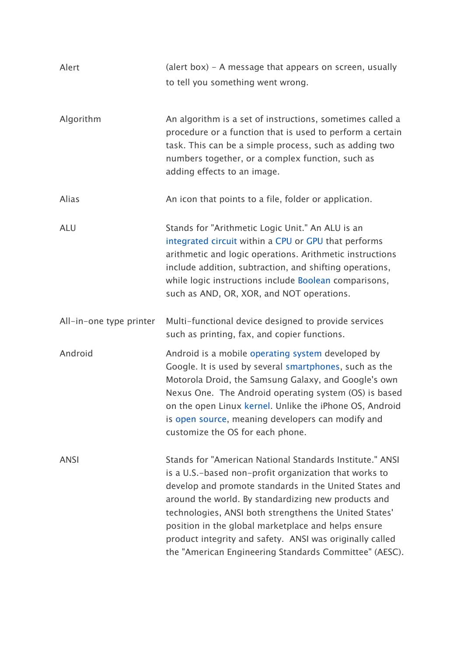| Alert                   | (alert box) – A message that appears on screen, usually<br>to tell you something went wrong.                                                                                                                                                                                                                                                                                                                                                                              |
|-------------------------|---------------------------------------------------------------------------------------------------------------------------------------------------------------------------------------------------------------------------------------------------------------------------------------------------------------------------------------------------------------------------------------------------------------------------------------------------------------------------|
| Algorithm               | An algorithm is a set of instructions, sometimes called a<br>procedure or a function that is used to perform a certain<br>task. This can be a simple process, such as adding two<br>numbers together, or a complex function, such as<br>adding effects to an image.                                                                                                                                                                                                       |
| Alias                   | An icon that points to a file, folder or application.                                                                                                                                                                                                                                                                                                                                                                                                                     |
| <b>ALU</b>              | Stands for "Arithmetic Logic Unit." An ALU is an<br>integrated circuit within a CPU or GPU that performs<br>arithmetic and logic operations. Arithmetic instructions<br>include addition, subtraction, and shifting operations,<br>while logic instructions include Boolean comparisons,<br>such as AND, OR, XOR, and NOT operations.                                                                                                                                     |
| All-in-one type printer | Multi-functional device designed to provide services<br>such as printing, fax, and copier functions.                                                                                                                                                                                                                                                                                                                                                                      |
| Android                 | Android is a mobile operating system developed by<br>Google. It is used by several smartphones, such as the<br>Motorola Droid, the Samsung Galaxy, and Google's own<br>Nexus One. The Android operating system (OS) is based<br>on the open Linux kernel. Unlike the iPhone OS, Android<br>is open source, meaning developers can modify and<br>customize the OS for each phone.                                                                                          |
| <b>ANSI</b>             | Stands for "American National Standards Institute." ANSI<br>is a U.S.-based non-profit organization that works to<br>develop and promote standards in the United States and<br>around the world. By standardizing new products and<br>technologies, ANSI both strengthens the United States'<br>position in the global marketplace and helps ensure<br>product integrity and safety. ANSI was originally called<br>the "American Engineering Standards Committee" (AESC). |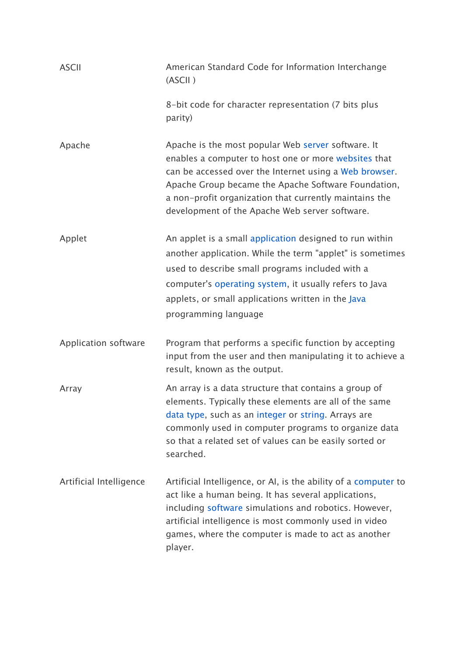| <b>ASCII</b>            | American Standard Code for Information Interchange<br>(ASCII)                                                                                                                                                                                                                                                                           |
|-------------------------|-----------------------------------------------------------------------------------------------------------------------------------------------------------------------------------------------------------------------------------------------------------------------------------------------------------------------------------------|
|                         | 8-bit code for character representation (7 bits plus<br>parity)                                                                                                                                                                                                                                                                         |
| Apache                  | Apache is the most popular Web server software. It<br>enables a computer to host one or more websites that<br>can be accessed over the Internet using a Web browser.<br>Apache Group became the Apache Software Foundation,<br>a non-profit organization that currently maintains the<br>development of the Apache Web server software. |
| Applet                  | An applet is a small application designed to run within<br>another application. While the term "applet" is sometimes<br>used to describe small programs included with a<br>computer's operating system, it usually refers to Java<br>applets, or small applications written in the Java<br>programming language                         |
| Application software    | Program that performs a specific function by accepting<br>input from the user and then manipulating it to achieve a<br>result, known as the output.                                                                                                                                                                                     |
| Array                   | An array is a data structure that contains a group of<br>elements. Typically these elements are all of the same<br>data type, such as an integer or string. Arrays are<br>commonly used in computer programs to organize data<br>so that a related set of values can be easily sorted or<br>searched.                                   |
| Artificial Intelligence | Artificial Intelligence, or AI, is the ability of a computer to<br>act like a human being. It has several applications,<br>including software simulations and robotics. However,<br>artificial intelligence is most commonly used in video<br>games, where the computer is made to act as another<br>player.                            |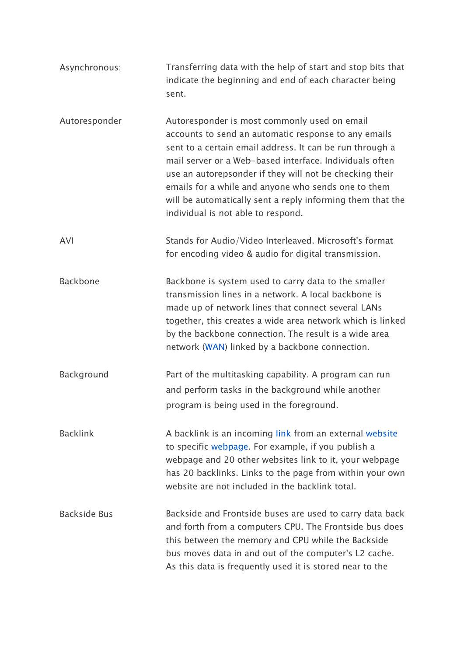| Asynchronous:       | Transferring data with the help of start and stop bits that<br>indicate the beginning and end of each character being<br>sent.                                                                                                                                                                                                                                                                                                                    |
|---------------------|---------------------------------------------------------------------------------------------------------------------------------------------------------------------------------------------------------------------------------------------------------------------------------------------------------------------------------------------------------------------------------------------------------------------------------------------------|
| Autoresponder       | Autoresponder is most commonly used on email<br>accounts to send an automatic response to any emails<br>sent to a certain email address. It can be run through a<br>mail server or a Web-based interface. Individuals often<br>use an autorepsonder if they will not be checking their<br>emails for a while and anyone who sends one to them<br>will be automatically sent a reply informing them that the<br>individual is not able to respond. |
| AVI                 | Stands for Audio/Video Interleaved. Microsoft's format<br>for encoding video & audio for digital transmission.                                                                                                                                                                                                                                                                                                                                    |
| <b>Backbone</b>     | Backbone is system used to carry data to the smaller<br>transmission lines in a network. A local backbone is<br>made up of network lines that connect several LANs<br>together, this creates a wide area network which is linked<br>by the backbone connection. The result is a wide area<br>network (WAN) linked by a backbone connection.                                                                                                       |
| Background          | Part of the multitasking capability. A program can run<br>and perform tasks in the background while another<br>program is being used in the foreground.                                                                                                                                                                                                                                                                                           |
| <b>Backlink</b>     | A backlink is an incoming link from an external website<br>to specific webpage. For example, if you publish a<br>webpage and 20 other websites link to it, your webpage<br>has 20 backlinks. Links to the page from within your own<br>website are not included in the backlink total.                                                                                                                                                            |
| <b>Backside Bus</b> | Backside and Frontside buses are used to carry data back<br>and forth from a computers CPU. The Frontside bus does<br>this between the memory and CPU while the Backside<br>bus moves data in and out of the computer's L2 cache.<br>As this data is frequently used it is stored near to the                                                                                                                                                     |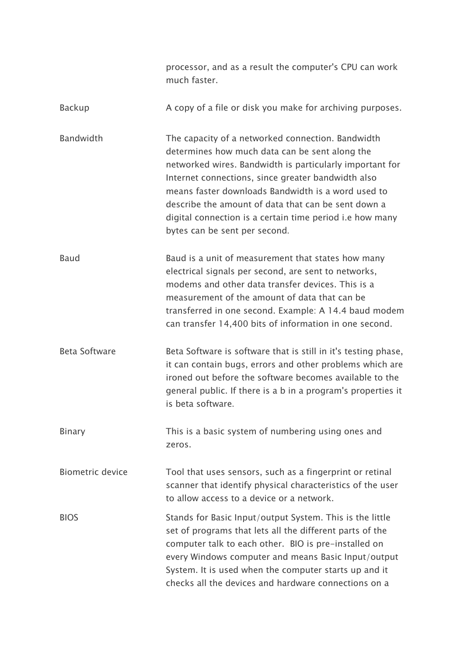|                         | processor, and as a result the computer's CPU can work<br>much faster.                                                                                                                                                                                                                                                                                                                                                          |
|-------------------------|---------------------------------------------------------------------------------------------------------------------------------------------------------------------------------------------------------------------------------------------------------------------------------------------------------------------------------------------------------------------------------------------------------------------------------|
| <b>Backup</b>           | A copy of a file or disk you make for archiving purposes.                                                                                                                                                                                                                                                                                                                                                                       |
| Bandwidth               | The capacity of a networked connection. Bandwidth<br>determines how much data can be sent along the<br>networked wires. Bandwidth is particularly important for<br>Internet connections, since greater bandwidth also<br>means faster downloads Bandwidth is a word used to<br>describe the amount of data that can be sent down a<br>digital connection is a certain time period i.e how many<br>bytes can be sent per second. |
| Baud                    | Baud is a unit of measurement that states how many<br>electrical signals per second, are sent to networks,<br>modems and other data transfer devices. This is a<br>measurement of the amount of data that can be<br>transferred in one second. Example: A 14.4 baud modem<br>can transfer 14,400 bits of information in one second.                                                                                             |
| <b>Beta Software</b>    | Beta Software is software that is still in it's testing phase,<br>it can contain bugs, errors and other problems which are<br>ironed out before the software becomes available to the<br>general public. If there is a b in a program's properties it<br>is beta software.                                                                                                                                                      |
| <b>Binary</b>           | This is a basic system of numbering using ones and<br>zeros.                                                                                                                                                                                                                                                                                                                                                                    |
| <b>Biometric device</b> | Tool that uses sensors, such as a fingerprint or retinal<br>scanner that identify physical characteristics of the user<br>to allow access to a device or a network.                                                                                                                                                                                                                                                             |
| <b>BIOS</b>             | Stands for Basic Input/output System. This is the little<br>set of programs that lets all the different parts of the<br>computer talk to each other. BIO is pre-installed on<br>every Windows computer and means Basic Input/output<br>System. It is used when the computer starts up and it<br>checks all the devices and hardware connections on a                                                                            |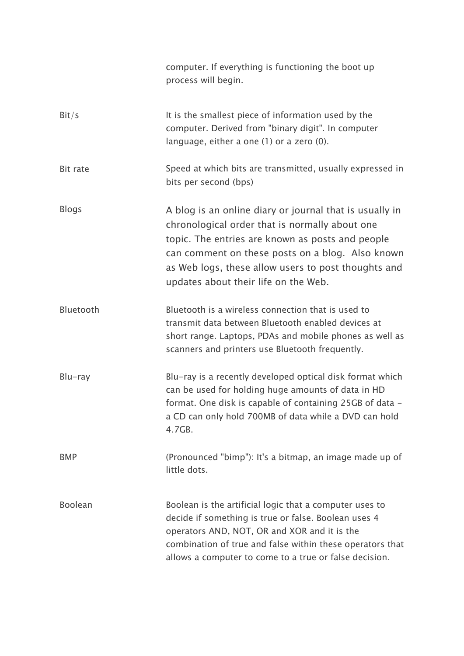|                | computer. If everything is functioning the boot up<br>process will begin.                                                                                                                                                                                                                                        |
|----------------|------------------------------------------------------------------------------------------------------------------------------------------------------------------------------------------------------------------------------------------------------------------------------------------------------------------|
| Bit/s          | It is the smallest piece of information used by the<br>computer. Derived from "binary digit". In computer<br>language, either a one (1) or a zero (0).                                                                                                                                                           |
| Bit rate       | Speed at which bits are transmitted, usually expressed in<br>bits per second (bps)                                                                                                                                                                                                                               |
| <b>Blogs</b>   | A blog is an online diary or journal that is usually in<br>chronological order that is normally about one<br>topic. The entries are known as posts and people<br>can comment on these posts on a blog. Also known<br>as Web logs, these allow users to post thoughts and<br>updates about their life on the Web. |
| Bluetooth      | Bluetooth is a wireless connection that is used to<br>transmit data between Bluetooth enabled devices at<br>short range. Laptops, PDAs and mobile phones as well as<br>scanners and printers use Bluetooth frequently.                                                                                           |
| $Blu$ -ray     | Blu-ray is a recently developed optical disk format which<br>can be used for holding huge amounts of data in HD<br>format. One disk is capable of containing 25GB of data -<br>a CD can only hold 700MB of data while a DVD can hold<br>4.7GB.                                                                   |
| <b>BMP</b>     | (Pronounced "bimp"): It's a bitmap, an image made up of<br>little dots.                                                                                                                                                                                                                                          |
| <b>Boolean</b> | Boolean is the artificial logic that a computer uses to<br>decide if something is true or false. Boolean uses 4<br>operators AND, NOT, OR and XOR and it is the<br>combination of true and false within these operators that<br>allows a computer to come to a true or false decision.                           |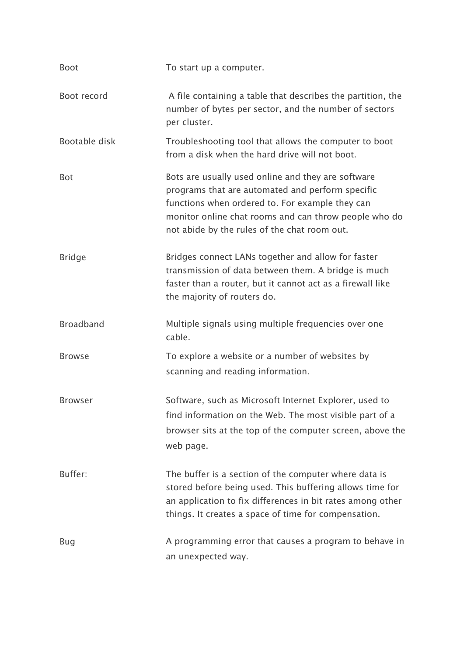| <b>Boot</b>      | To start up a computer.                                                                                                                                                                                                                                            |
|------------------|--------------------------------------------------------------------------------------------------------------------------------------------------------------------------------------------------------------------------------------------------------------------|
| Boot record      | A file containing a table that describes the partition, the<br>number of bytes per sector, and the number of sectors<br>per cluster.                                                                                                                               |
| Bootable disk    | Troubleshooting tool that allows the computer to boot<br>from a disk when the hard drive will not boot.                                                                                                                                                            |
| <b>Bot</b>       | Bots are usually used online and they are software<br>programs that are automated and perform specific<br>functions when ordered to. For example they can<br>monitor online chat rooms and can throw people who do<br>not abide by the rules of the chat room out. |
| <b>Bridge</b>    | Bridges connect LANs together and allow for faster<br>transmission of data between them. A bridge is much<br>faster than a router, but it cannot act as a firewall like<br>the majority of routers do.                                                             |
| <b>Broadband</b> | Multiple signals using multiple frequencies over one<br>cable.                                                                                                                                                                                                     |
| <b>Browse</b>    | To explore a website or a number of websites by<br>scanning and reading information.                                                                                                                                                                               |
| <b>Browser</b>   | Software, such as Microsoft Internet Explorer, used to<br>find information on the Web. The most visible part of a<br>browser sits at the top of the computer screen, above the<br>web page.                                                                        |
| Buffer:          | The buffer is a section of the computer where data is<br>stored before being used. This buffering allows time for<br>an application to fix differences in bit rates among other<br>things. It creates a space of time for compensation.                            |
| Bug              | A programming error that causes a program to behave in<br>an unexpected way.                                                                                                                                                                                       |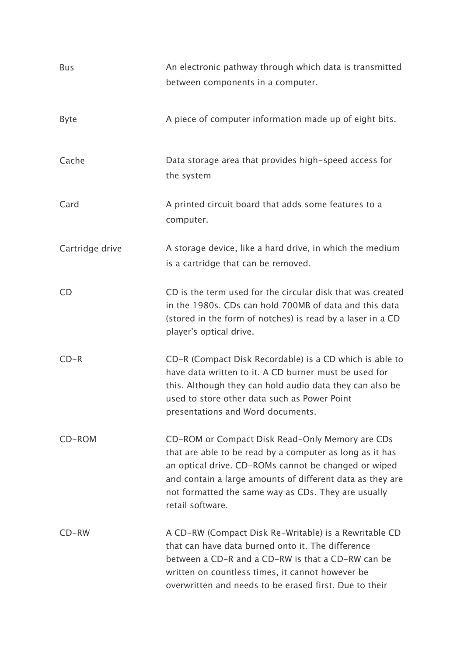| <b>Bus</b>      | An electronic pathway through which data is transmitted<br>between components in a computer.                                                                                                                                                                                                                |
|-----------------|-------------------------------------------------------------------------------------------------------------------------------------------------------------------------------------------------------------------------------------------------------------------------------------------------------------|
| <b>Byte</b>     | A piece of computer information made up of eight bits.                                                                                                                                                                                                                                                      |
| Cache           | Data storage area that provides high-speed access for<br>the system                                                                                                                                                                                                                                         |
| Card            | A printed circuit board that adds some features to a<br>computer.                                                                                                                                                                                                                                           |
| Cartridge drive | A storage device, like a hard drive, in which the medium<br>is a cartridge that can be removed.                                                                                                                                                                                                             |
| CD              | CD is the term used for the circular disk that was created<br>in the 1980s. CDs can hold 700MB of data and this data<br>(stored in the form of notches) is read by a laser in a CD<br>player's optical drive.                                                                                               |
| $CD-R$          | CD-R (Compact Disk Recordable) is a CD which is able to<br>have data written to it. A CD burner must be used for<br>this. Although they can hold audio data they can also be<br>used to store other data such as Power Point<br>presentations and Word documents.                                           |
| CD-ROM          | CD-ROM or Compact Disk Read-Only Memory are CDs<br>that are able to be read by a computer as long as it has<br>an optical drive. CD-ROMs cannot be changed or wiped<br>and contain a large amounts of different data as they are<br>not formatted the same way as CDs. They are usually<br>retail software. |
| $CD-RW$         | A CD-RW (Compact Disk Re-Writable) is a Rewritable CD<br>that can have data burned onto it. The difference<br>between a CD-R and a CD-RW is that a CD-RW can be<br>written on countless times, it cannot however be<br>overwritten and needs to be erased first. Due to their                               |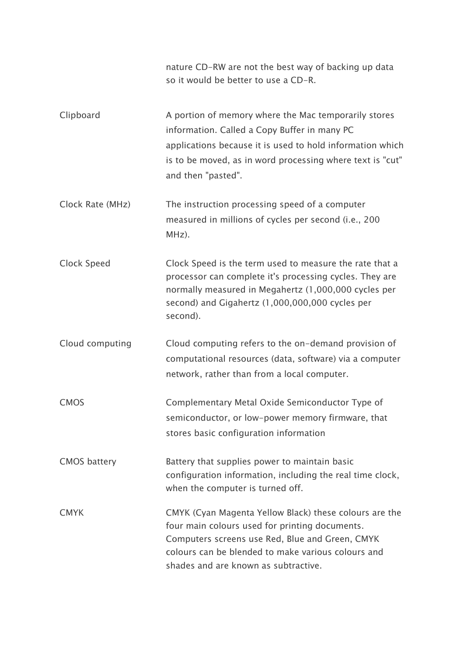|                     | nature CD-RW are not the best way of backing up data<br>so it would be better to use a CD-R.                                                                                                                                                              |
|---------------------|-----------------------------------------------------------------------------------------------------------------------------------------------------------------------------------------------------------------------------------------------------------|
| Clipboard           | A portion of memory where the Mac temporarily stores<br>information. Called a Copy Buffer in many PC<br>applications because it is used to hold information which<br>is to be moved, as in word processing where text is "cut"<br>and then "pasted".      |
| Clock Rate (MHz)    | The instruction processing speed of a computer<br>measured in millions of cycles per second (i.e., 200<br>MHz).                                                                                                                                           |
| Clock Speed         | Clock Speed is the term used to measure the rate that a<br>processor can complete it's processing cycles. They are<br>normally measured in Megahertz (1,000,000 cycles per<br>second) and Gigahertz (1,000,000,000 cycles per<br>second).                 |
| Cloud computing     | Cloud computing refers to the on-demand provision of<br>computational resources (data, software) via a computer<br>network, rather than from a local computer.                                                                                            |
| <b>CMOS</b>         | Complementary Metal Oxide Semiconductor Type of<br>semiconductor, or low-power memory firmware, that<br>stores basic configuration information                                                                                                            |
| <b>CMOS battery</b> | Battery that supplies power to maintain basic<br>configuration information, including the real time clock,<br>when the computer is turned off.                                                                                                            |
| <b>CMYK</b>         | CMYK (Cyan Magenta Yellow Black) these colours are the<br>four main colours used for printing documents.<br>Computers screens use Red, Blue and Green, CMYK<br>colours can be blended to make various colours and<br>shades and are known as subtractive. |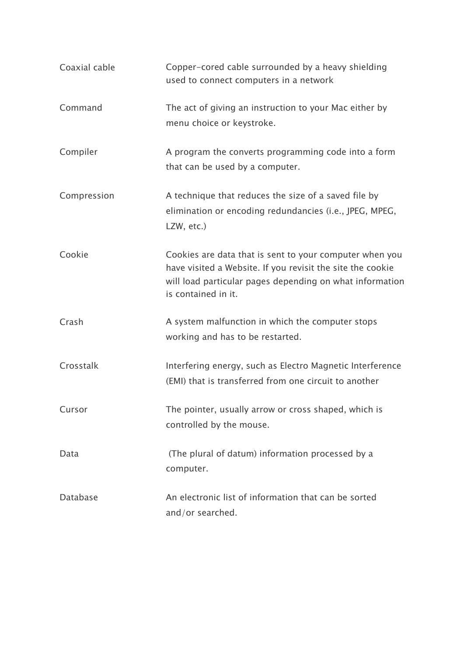| Coaxial cable | Copper-cored cable surrounded by a heavy shielding<br>used to connect computers in a network                                                                                                             |
|---------------|----------------------------------------------------------------------------------------------------------------------------------------------------------------------------------------------------------|
| Command       | The act of giving an instruction to your Mac either by<br>menu choice or keystroke.                                                                                                                      |
| Compiler      | A program the converts programming code into a form<br>that can be used by a computer.                                                                                                                   |
| Compression   | A technique that reduces the size of a saved file by<br>elimination or encoding redundancies (i.e., JPEG, MPEG,<br>LZW, etc.)                                                                            |
| Cookie        | Cookies are data that is sent to your computer when you<br>have visited a Website. If you revisit the site the cookie<br>will load particular pages depending on what information<br>is contained in it. |
| Crash         | A system malfunction in which the computer stops<br>working and has to be restarted.                                                                                                                     |
| Crosstalk     | Interfering energy, such as Electro Magnetic Interference<br>(EMI) that is transferred from one circuit to another                                                                                       |
| Cursor        | The pointer, usually arrow or cross shaped, which is<br>controlled by the mouse.                                                                                                                         |
| Data          | (The plural of datum) information processed by a<br>computer.                                                                                                                                            |
| Database      | An electronic list of information that can be sorted<br>and/or searched.                                                                                                                                 |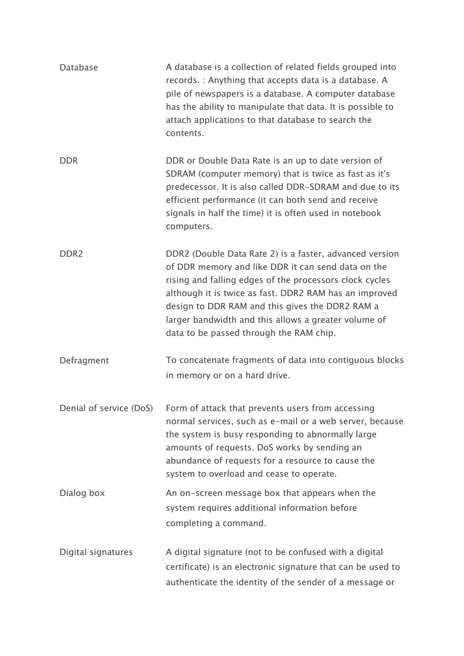| Database           | A database is a collection of related fields grouped into<br>records. : Anything that accepts data is a database. A<br>pile of newspapers is a database. A computer database<br>has the ability to manipulate that data. It is possible to<br>attach applications to that database to search the<br>contents.                                                                            |
|--------------------|------------------------------------------------------------------------------------------------------------------------------------------------------------------------------------------------------------------------------------------------------------------------------------------------------------------------------------------------------------------------------------------|
| <b>DDR</b>         | DDR or Double Data Rate is an up to date version of<br>SDRAM (computer memory) that is twice as fast as it's<br>predecessor. It is also called DDR-SDRAM and due to its<br>efficient performance (it can both send and receive<br>signals in half the time) it is often used in notebook<br>computers.                                                                                   |
| DDR <sub>2</sub>   | DDR2 (Double Data Rate 2) is a faster, advanced version<br>of DDR memory and like DDR it can send data on the<br>rising and falling edges of the processors clock cycles<br>although it is twice as fast. DDR2 RAM has an improved<br>design to DDR RAM and this gives the DDR2 RAM a<br>larger bandwidth and this allows a greater volume of<br>data to be passed through the RAM chip. |
| Defragment         | To concatenate fragments of data into contiguous blocks<br>in memory or on a hard drive.                                                                                                                                                                                                                                                                                                 |
|                    | Denial of service (DoS) Form of attack that prevents users from accessing<br>normal services, such as e-mail or a web server, because<br>the system is busy responding to abnormally large<br>amounts of requests. DoS works by sending an<br>abundance of requests for a resource to cause the<br>system to overload and cease to operate.                                              |
| Dialog box         | An on-screen message box that appears when the<br>system requires additional information before<br>completing a command.                                                                                                                                                                                                                                                                 |
| Digital signatures | A digital signature (not to be confused with a digital<br>certificate) is an electronic signature that can be used to<br>authenticate the identity of the sender of a message or                                                                                                                                                                                                         |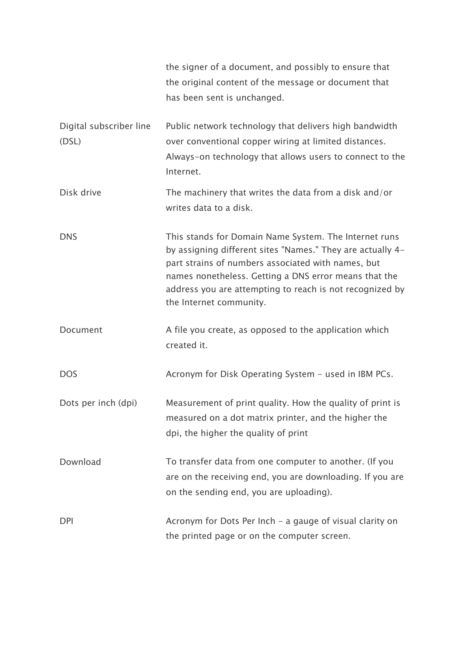|                                  | the signer of a document, and possibly to ensure that<br>the original content of the message or document that<br>has been sent is unchanged.                                                                                                                                                                              |
|----------------------------------|---------------------------------------------------------------------------------------------------------------------------------------------------------------------------------------------------------------------------------------------------------------------------------------------------------------------------|
| Digital subscriber line<br>(DSL) | Public network technology that delivers high bandwidth<br>over conventional copper wiring at limited distances.<br>Always-on technology that allows users to connect to the<br>Internet.                                                                                                                                  |
| Disk drive                       | The machinery that writes the data from a disk and/or<br>writes data to a disk.                                                                                                                                                                                                                                           |
| <b>DNS</b>                       | This stands for Domain Name System. The Internet runs<br>by assigning different sites "Names." They are actually 4-<br>part strains of numbers associated with names, but<br>names nonetheless. Getting a DNS error means that the<br>address you are attempting to reach is not recognized by<br>the Internet community. |
| Document                         | A file you create, as opposed to the application which<br>created it.                                                                                                                                                                                                                                                     |
| <b>DOS</b>                       | Acronym for Disk Operating System - used in IBM PCs.                                                                                                                                                                                                                                                                      |
| Dots per inch (dpi)              | Measurement of print quality. How the quality of print is<br>measured on a dot matrix printer, and the higher the<br>dpi, the higher the quality of print                                                                                                                                                                 |
| Download                         | To transfer data from one computer to another. (If you<br>are on the receiving end, you are downloading. If you are<br>on the sending end, you are uploading).                                                                                                                                                            |
| <b>DPI</b>                       | Acronym for Dots Per Inch - a gauge of visual clarity on<br>the printed page or on the computer screen.                                                                                                                                                                                                                   |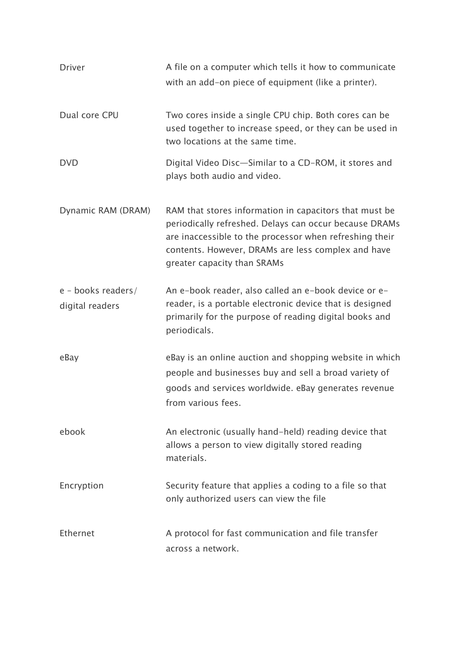| <b>Driver</b>                         | A file on a computer which tells it how to communicate<br>with an add-on piece of equipment (like a printer).                                                                                                                                                    |
|---------------------------------------|------------------------------------------------------------------------------------------------------------------------------------------------------------------------------------------------------------------------------------------------------------------|
| Dual core CPU                         | Two cores inside a single CPU chip. Both cores can be<br>used together to increase speed, or they can be used in<br>two locations at the same time.                                                                                                              |
| <b>DVD</b>                            | Digital Video Disc-Similar to a CD-ROM, it stores and<br>plays both audio and video.                                                                                                                                                                             |
| Dynamic RAM (DRAM)                    | RAM that stores information in capacitors that must be<br>periodically refreshed. Delays can occur because DRAMs<br>are inaccessible to the processor when refreshing their<br>contents. However, DRAMs are less complex and have<br>greater capacity than SRAMs |
| e - books readers/<br>digital readers | An e-book reader, also called an e-book device or e-<br>reader, is a portable electronic device that is designed<br>primarily for the purpose of reading digital books and<br>periodicals.                                                                       |
| eBay                                  | eBay is an online auction and shopping website in which<br>people and businesses buy and sell a broad variety of<br>goods and services worldwide. eBay generates revenue<br>from various fees.                                                                   |
| ebook                                 | An electronic (usually hand-held) reading device that<br>allows a person to view digitally stored reading<br>materials.                                                                                                                                          |
| Encryption                            | Security feature that applies a coding to a file so that<br>only authorized users can view the file                                                                                                                                                              |
| Ethernet                              | A protocol for fast communication and file transfer<br>across a network.                                                                                                                                                                                         |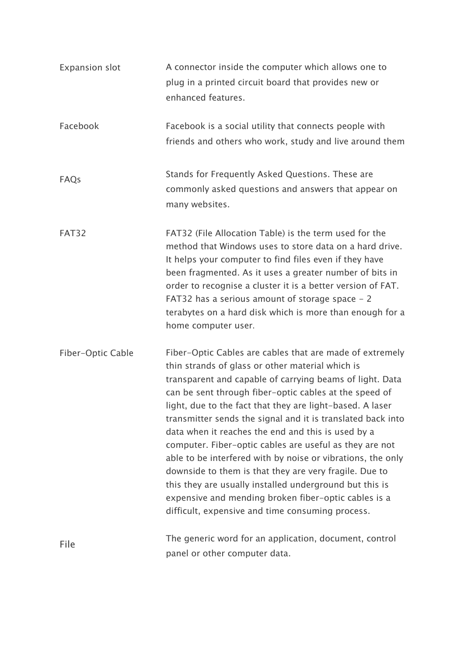| <b>Expansion slot</b> | A connector inside the computer which allows one to<br>plug in a printed circuit board that provides new or<br>enhanced features.                                                                                                                                                                                                                                                                                                                                                                                                                                                                                                                                                                                                                                               |
|-----------------------|---------------------------------------------------------------------------------------------------------------------------------------------------------------------------------------------------------------------------------------------------------------------------------------------------------------------------------------------------------------------------------------------------------------------------------------------------------------------------------------------------------------------------------------------------------------------------------------------------------------------------------------------------------------------------------------------------------------------------------------------------------------------------------|
| Facebook              | Facebook is a social utility that connects people with<br>friends and others who work, study and live around them                                                                                                                                                                                                                                                                                                                                                                                                                                                                                                                                                                                                                                                               |
| FAQs                  | Stands for Frequently Asked Questions. These are<br>commonly asked questions and answers that appear on<br>many websites.                                                                                                                                                                                                                                                                                                                                                                                                                                                                                                                                                                                                                                                       |
| FAT32                 | FAT32 (File Allocation Table) is the term used for the<br>method that Windows uses to store data on a hard drive.<br>It helps your computer to find files even if they have<br>been fragmented. As it uses a greater number of bits in<br>order to recognise a cluster it is a better version of FAT.<br>FAT32 has a serious amount of storage space - 2<br>terabytes on a hard disk which is more than enough for a<br>home computer user.                                                                                                                                                                                                                                                                                                                                     |
| Fiber-Optic Cable     | Fiber-Optic Cables are cables that are made of extremely<br>thin strands of glass or other material which is<br>transparent and capable of carrying beams of light. Data<br>can be sent through fiber-optic cables at the speed of<br>light, due to the fact that they are light-based. A laser<br>transmitter sends the signal and it is translated back into<br>data when it reaches the end and this is used by a<br>computer. Fiber-optic cables are useful as they are not<br>able to be interfered with by noise or vibrations, the only<br>downside to them is that they are very fragile. Due to<br>this they are usually installed underground but this is<br>expensive and mending broken fiber-optic cables is a<br>difficult, expensive and time consuming process. |
| File                  | The generic word for an application, document, control<br>panel or other computer data.                                                                                                                                                                                                                                                                                                                                                                                                                                                                                                                                                                                                                                                                                         |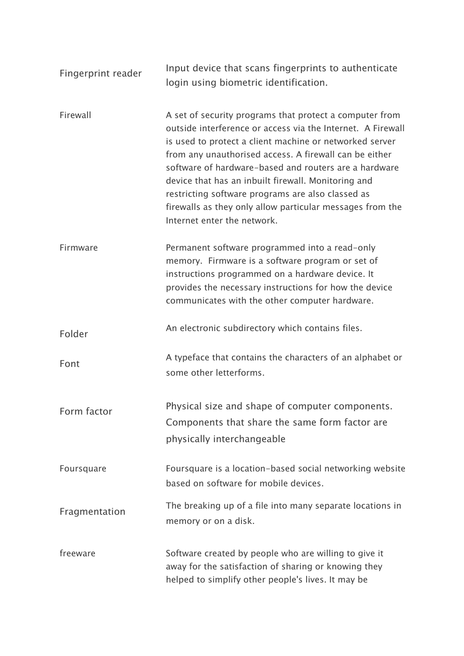| Fingerprint reader | Input device that scans fingerprints to authenticate<br>login using biometric identification.                                                                                                                                                                                                                                                                                                                                                                                                                |
|--------------------|--------------------------------------------------------------------------------------------------------------------------------------------------------------------------------------------------------------------------------------------------------------------------------------------------------------------------------------------------------------------------------------------------------------------------------------------------------------------------------------------------------------|
| Firewall           | A set of security programs that protect a computer from<br>outside interference or access via the Internet. A Firewall<br>is used to protect a client machine or networked server<br>from any unauthorised access. A firewall can be either<br>software of hardware-based and routers are a hardware<br>device that has an inbuilt firewall. Monitoring and<br>restricting software programs are also classed as<br>firewalls as they only allow particular messages from the<br>Internet enter the network. |
| Firmware           | Permanent software programmed into a read-only<br>memory. Firmware is a software program or set of<br>instructions programmed on a hardware device. It<br>provides the necessary instructions for how the device<br>communicates with the other computer hardware.                                                                                                                                                                                                                                           |
| Folder             | An electronic subdirectory which contains files.                                                                                                                                                                                                                                                                                                                                                                                                                                                             |
| Font               | A typeface that contains the characters of an alphabet or<br>some other letterforms.                                                                                                                                                                                                                                                                                                                                                                                                                         |
| Form factor        | Physical size and shape of computer components.<br>Components that share the same form factor are<br>physically interchangeable                                                                                                                                                                                                                                                                                                                                                                              |
| Foursquare         | Foursquare is a location-based social networking website<br>based on software for mobile devices.                                                                                                                                                                                                                                                                                                                                                                                                            |
| Fragmentation      | The breaking up of a file into many separate locations in<br>memory or on a disk.                                                                                                                                                                                                                                                                                                                                                                                                                            |
| freeware           | Software created by people who are willing to give it<br>away for the satisfaction of sharing or knowing they<br>helped to simplify other people's lives. It may be                                                                                                                                                                                                                                                                                                                                          |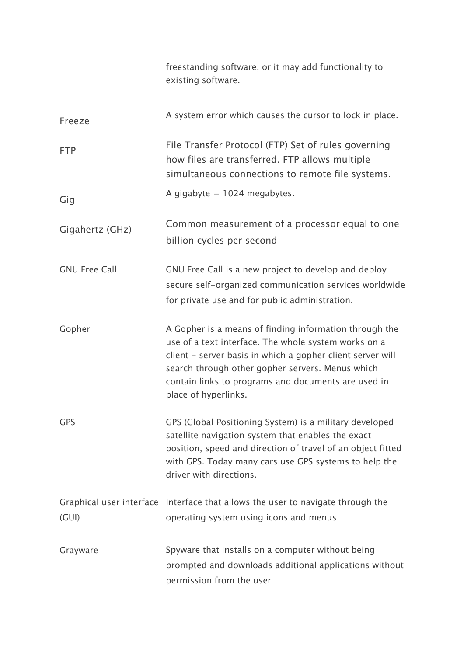|                      | freestanding software, or it may add functionality to<br>existing software.                                                                                                                                                                                                                                     |
|----------------------|-----------------------------------------------------------------------------------------------------------------------------------------------------------------------------------------------------------------------------------------------------------------------------------------------------------------|
| Freeze               | A system error which causes the cursor to lock in place.                                                                                                                                                                                                                                                        |
| <b>FTP</b>           | File Transfer Protocol (FTP) Set of rules governing<br>how files are transferred. FTP allows multiple<br>simultaneous connections to remote file systems.                                                                                                                                                       |
| Gig                  | A gigabyte $= 1024$ megabytes.                                                                                                                                                                                                                                                                                  |
| Gigahertz (GHz)      | Common measurement of a processor equal to one<br>billion cycles per second                                                                                                                                                                                                                                     |
| <b>GNU Free Call</b> | GNU Free Call is a new project to develop and deploy<br>secure self-organized communication services worldwide<br>for private use and for public administration.                                                                                                                                                |
| Gopher               | A Gopher is a means of finding information through the<br>use of a text interface. The whole system works on a<br>client - server basis in which a gopher client server will<br>search through other gopher servers. Menus which<br>contain links to programs and documents are used in<br>place of hyperlinks. |
| <b>GPS</b>           | GPS (Global Positioning System) is a military developed<br>satellite navigation system that enables the exact<br>position, speed and direction of travel of an object fitted<br>with GPS. Today many cars use GPS systems to help the<br>driver with directions.                                                |
| (GUI)                | Graphical user interface Interface that allows the user to navigate through the<br>operating system using icons and menus                                                                                                                                                                                       |
| Grayware             | Spyware that installs on a computer without being<br>prompted and downloads additional applications without<br>permission from the user                                                                                                                                                                         |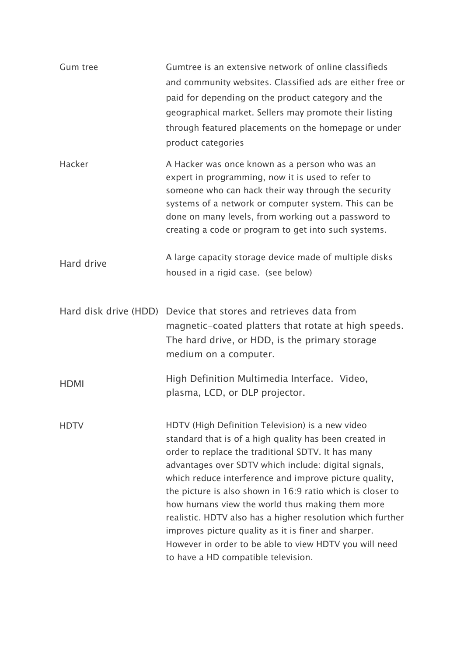| <b>Gum tree</b> | Gumtree is an extensive network of online classifieds<br>and community websites. Classified ads are either free or<br>paid for depending on the product category and the<br>geographical market. Sellers may promote their listing<br>through featured placements on the homepage or under<br>product categories                                                                                                                                                                                                                                                                                                           |
|-----------------|----------------------------------------------------------------------------------------------------------------------------------------------------------------------------------------------------------------------------------------------------------------------------------------------------------------------------------------------------------------------------------------------------------------------------------------------------------------------------------------------------------------------------------------------------------------------------------------------------------------------------|
| Hacker          | A Hacker was once known as a person who was an<br>expert in programming, now it is used to refer to<br>someone who can hack their way through the security<br>systems of a network or computer system. This can be<br>done on many levels, from working out a password to<br>creating a code or program to get into such systems.                                                                                                                                                                                                                                                                                          |
| Hard drive      | A large capacity storage device made of multiple disks<br>housed in a rigid case. (see below)                                                                                                                                                                                                                                                                                                                                                                                                                                                                                                                              |
|                 | Hard disk drive (HDD) Device that stores and retrieves data from<br>magnetic-coated platters that rotate at high speeds.<br>The hard drive, or HDD, is the primary storage<br>medium on a computer.                                                                                                                                                                                                                                                                                                                                                                                                                        |
| <b>HDMI</b>     | High Definition Multimedia Interface. Video,<br>plasma, LCD, or DLP projector.                                                                                                                                                                                                                                                                                                                                                                                                                                                                                                                                             |
| <b>HDTV</b>     | HDTV (High Definition Television) is a new video<br>standard that is of a high quality has been created in<br>order to replace the traditional SDTV. It has many<br>advantages over SDTV which include: digital signals,<br>which reduce interference and improve picture quality,<br>the picture is also shown in 16:9 ratio which is closer to<br>how humans view the world thus making them more<br>realistic. HDTV also has a higher resolution which further<br>improves picture quality as it is finer and sharper.<br>However in order to be able to view HDTV you will need<br>to have a HD compatible television. |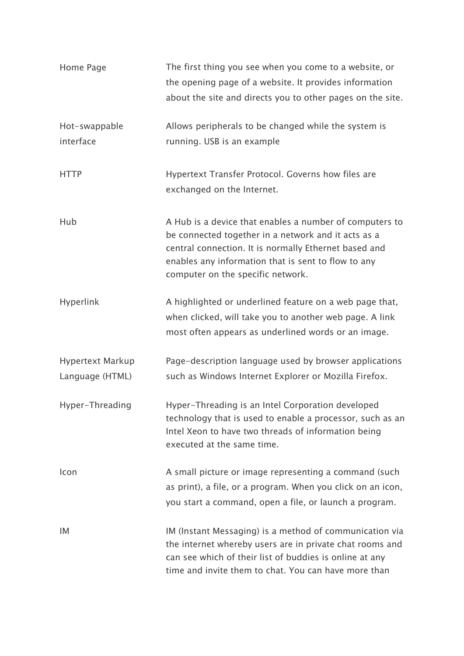| Home Page                  | The first thing you see when you come to a website, or<br>the opening page of a website. It provides information<br>about the site and directs you to other pages on the site.                                                                                      |
|----------------------------|---------------------------------------------------------------------------------------------------------------------------------------------------------------------------------------------------------------------------------------------------------------------|
| Hot-swappable<br>interface | Allows peripherals to be changed while the system is<br>running. USB is an example                                                                                                                                                                                  |
| <b>HTTP</b>                | Hypertext Transfer Protocol. Governs how files are<br>exchanged on the Internet.                                                                                                                                                                                    |
| Hub                        | A Hub is a device that enables a number of computers to<br>be connected together in a network and it acts as a<br>central connection. It is normally Ethernet based and<br>enables any information that is sent to flow to any<br>computer on the specific network. |
| Hyperlink                  | A highlighted or underlined feature on a web page that,<br>when clicked, will take you to another web page. A link<br>most often appears as underlined words or an image.                                                                                           |
| <b>Hypertext Markup</b>    | Page-description language used by browser applications                                                                                                                                                                                                              |
| Language (HTML)            | such as Windows Internet Explorer or Mozilla Firefox.                                                                                                                                                                                                               |
| Hyper-Threading            | Hyper-Threading is an Intel Corporation developed<br>technology that is used to enable a processor, such as an<br>Intel Xeon to have two threads of information being<br>executed at the same time.                                                                 |
| Icon                       | A small picture or image representing a command (such<br>as print), a file, or a program. When you click on an icon,<br>you start a command, open a file, or launch a program.                                                                                      |
| IM                         | IM (Instant Messaging) is a method of communication via<br>the internet whereby users are in private chat rooms and<br>can see which of their list of buddies is online at any<br>time and invite them to chat. You can have more than                              |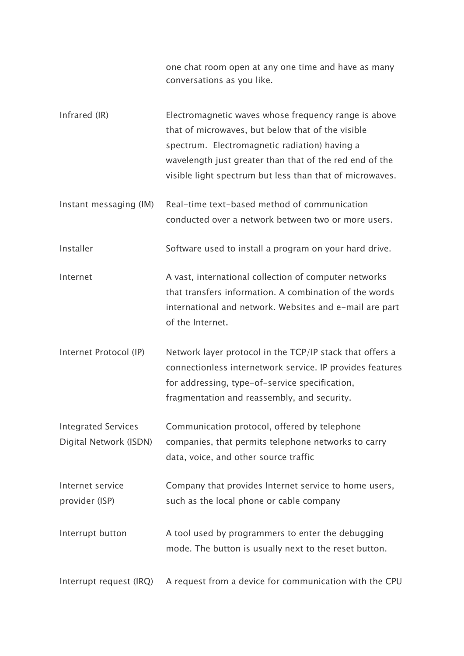one chat room open at any one time and have as many conversations as you like.

- Infrared (IR) Electromagnetic waves whose frequency range is above that of microwaves, but below that of the visible spectrum. Electromagnetic radiation) having a wavelength just greater than that of the red end of the visible light spectrum but less than that of microwaves.
- Instant messaging (IM) Real-time text-based method of communication conducted over a network between two or more users.

Installer Software used to install a program on your hard drive.

- Internet A vast, international collection of computer networks that transfers information. A combination of the words international and network. Websites and e-mail are part of the Internet.
- Internet Protocol (IP) Network layer protocol in the TCP/IP stack that offers a connectionless internetwork service. IP provides features for addressing, type-of-service specification, fragmentation and reassembly, and security.
- Integrated Services Digital Network (ISDN) Communication protocol, offered by telephone companies, that permits telephone networks to carry data, voice, and other source traffic
- Internet service provider (ISP) Company that provides Internet service to home users, such as the local phone or cable company
- Interrupt button A tool used by programmers to enter the debugging mode. The button is usually next to the reset button.

Interrupt request (IRQ) A request from a device for communication with the CPU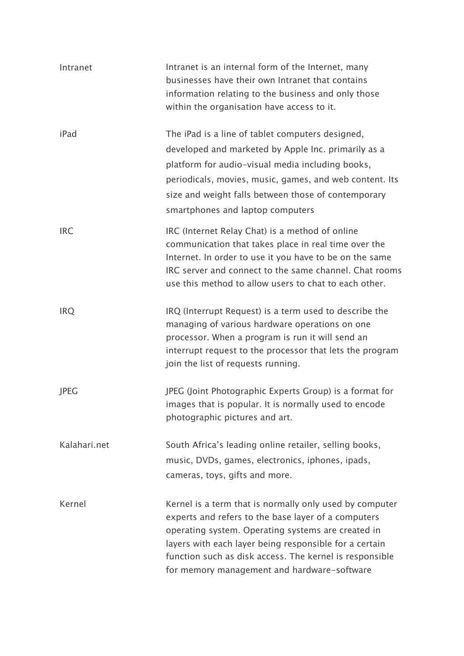| Intranet     | Intranet is an internal form of the Internet, many<br>businesses have their own Intranet that contains<br>information relating to the business and only those<br>within the organisation have access to it.                                                                                                                              |
|--------------|------------------------------------------------------------------------------------------------------------------------------------------------------------------------------------------------------------------------------------------------------------------------------------------------------------------------------------------|
| iPad         | The iPad is a line of tablet computers designed,<br>developed and marketed by Apple Inc. primarily as a<br>platform for audio-visual media including books,<br>periodicals, movies, music, games, and web content. Its<br>size and weight falls between those of contemporary<br>smartphones and laptop computers                        |
| <b>IRC</b>   | IRC (Internet Relay Chat) is a method of online<br>communication that takes place in real time over the<br>Internet. In order to use it you have to be on the same<br>IRC server and connect to the same channel. Chat rooms<br>use this method to allow users to chat to each other.                                                    |
| <b>IRQ</b>   | IRQ (Interrupt Request) is a term used to describe the<br>managing of various hardware operations on one<br>processor. When a program is run it will send an<br>interrupt request to the processor that lets the program<br>join the list of requests running.                                                                           |
| <b>JPEG</b>  | JPEG (Joint Photographic Experts Group) is a format for<br>images that is popular. It is normally used to encode<br>photographic pictures and art.                                                                                                                                                                                       |
| Kalahari.net | South Africa's leading online retailer, selling books,<br>music, DVDs, games, electronics, iphones, ipads,<br>cameras, toys, gifts and more.                                                                                                                                                                                             |
| Kernel       | Kernel is a term that is normally only used by computer<br>experts and refers to the base layer of a computers<br>operating system. Operating systems are created in<br>layers with each layer being responsible for a certain<br>function such as disk access. The kernel is responsible<br>for memory management and hardware-software |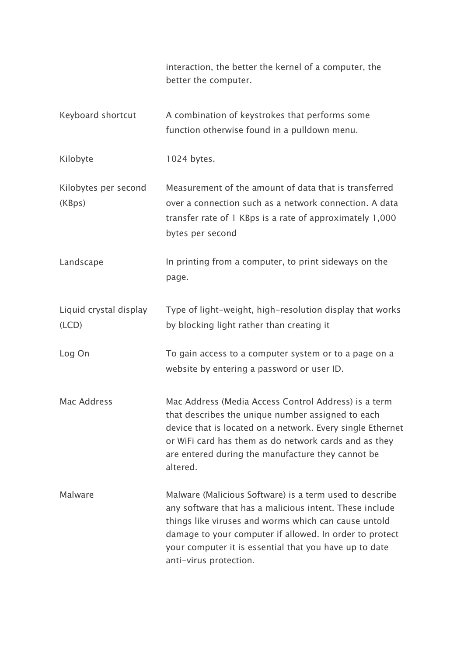|                                 | interaction, the better the kernel of a computer, the<br>better the computer.                                                                                                                                                                                                                                             |
|---------------------------------|---------------------------------------------------------------------------------------------------------------------------------------------------------------------------------------------------------------------------------------------------------------------------------------------------------------------------|
| Keyboard shortcut               | A combination of keystrokes that performs some<br>function otherwise found in a pulldown menu.                                                                                                                                                                                                                            |
| Kilobyte                        | 1024 bytes.                                                                                                                                                                                                                                                                                                               |
| Kilobytes per second<br>(KBps)  | Measurement of the amount of data that is transferred<br>over a connection such as a network connection. A data<br>transfer rate of 1 KBps is a rate of approximately 1,000<br>bytes per second                                                                                                                           |
| Landscape                       | In printing from a computer, to print sideways on the<br>page.                                                                                                                                                                                                                                                            |
| Liquid crystal display<br>(LCD) | Type of light-weight, high-resolution display that works<br>by blocking light rather than creating it                                                                                                                                                                                                                     |
| Log On                          | To gain access to a computer system or to a page on a<br>website by entering a password or user ID.                                                                                                                                                                                                                       |
| Mac Address                     | Mac Address (Media Access Control Address) is a term<br>that describes the unique number assigned to each<br>device that is located on a network. Every single Ethernet<br>or WiFi card has them as do network cards and as they<br>are entered during the manufacture they cannot be<br>altered.                         |
| Malware                         | Malware (Malicious Software) is a term used to describe<br>any software that has a malicious intent. These include<br>things like viruses and worms which can cause untold<br>damage to your computer if allowed. In order to protect<br>your computer it is essential that you have up to date<br>anti-virus protection. |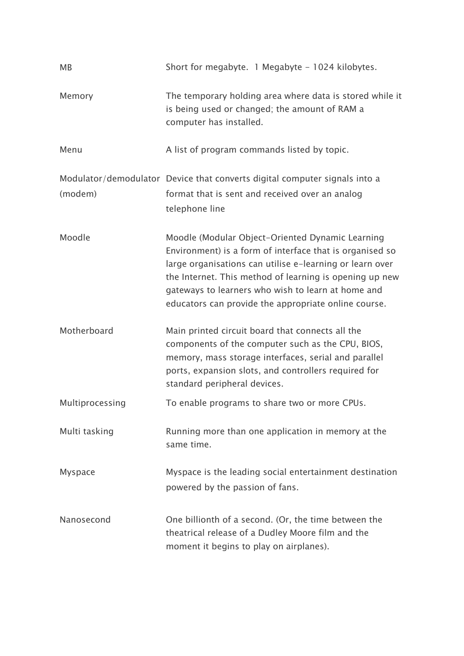| <b>MB</b>       | Short for megabyte. 1 Megabyte - 1024 kilobytes.                                                                                                                                                                                                                                                                                                  |
|-----------------|---------------------------------------------------------------------------------------------------------------------------------------------------------------------------------------------------------------------------------------------------------------------------------------------------------------------------------------------------|
| Memory          | The temporary holding area where data is stored while it<br>is being used or changed; the amount of RAM a<br>computer has installed.                                                                                                                                                                                                              |
| Menu            | A list of program commands listed by topic.                                                                                                                                                                                                                                                                                                       |
| (modem)         | Modulator/demodulator Device that converts digital computer signals into a<br>format that is sent and received over an analog<br>telephone line                                                                                                                                                                                                   |
| Moodle          | Moodle (Modular Object-Oriented Dynamic Learning<br>Environment) is a form of interface that is organised so<br>large organisations can utilise e-learning or learn over<br>the Internet. This method of learning is opening up new<br>gateways to learners who wish to learn at home and<br>educators can provide the appropriate online course. |
| Motherboard     | Main printed circuit board that connects all the<br>components of the computer such as the CPU, BIOS,<br>memory, mass storage interfaces, serial and parallel<br>ports, expansion slots, and controllers required for<br>standard peripheral devices.                                                                                             |
| Multiprocessing | To enable programs to share two or more CPUs.                                                                                                                                                                                                                                                                                                     |
| Multi tasking   | Running more than one application in memory at the<br>same time.                                                                                                                                                                                                                                                                                  |
| <b>Myspace</b>  | Myspace is the leading social entertainment destination<br>powered by the passion of fans.                                                                                                                                                                                                                                                        |
| Nanosecond      | One billionth of a second. (Or, the time between the<br>theatrical release of a Dudley Moore film and the<br>moment it begins to play on airplanes).                                                                                                                                                                                              |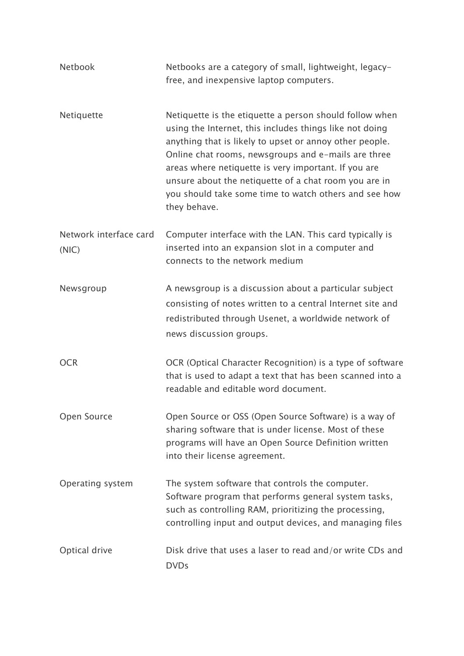| <b>Netbook</b>                  | Netbooks are a category of small, lightweight, legacy-<br>free, and inexpensive laptop computers.                                                                                                                                                                                                                                                                                                                              |
|---------------------------------|--------------------------------------------------------------------------------------------------------------------------------------------------------------------------------------------------------------------------------------------------------------------------------------------------------------------------------------------------------------------------------------------------------------------------------|
| Netiquette                      | Netiquette is the etiquette a person should follow when<br>using the Internet, this includes things like not doing<br>anything that is likely to upset or annoy other people.<br>Online chat rooms, newsgroups and e-mails are three<br>areas where netiquette is very important. If you are<br>unsure about the netiquette of a chat room you are in<br>you should take some time to watch others and see how<br>they behave. |
| Network interface card<br>(NIC) | Computer interface with the LAN. This card typically is<br>inserted into an expansion slot in a computer and<br>connects to the network medium                                                                                                                                                                                                                                                                                 |
| Newsgroup                       | A newsgroup is a discussion about a particular subject<br>consisting of notes written to a central Internet site and<br>redistributed through Usenet, a worldwide network of<br>news discussion groups.                                                                                                                                                                                                                        |
| <b>OCR</b>                      | OCR (Optical Character Recognition) is a type of software<br>that is used to adapt a text that has been scanned into a<br>readable and editable word document.                                                                                                                                                                                                                                                                 |
| Open Source                     | Open Source or OSS (Open Source Software) is a way of<br>sharing software that is under license. Most of these<br>programs will have an Open Source Definition written<br>into their license agreement.                                                                                                                                                                                                                        |
| Operating system                | The system software that controls the computer.<br>Software program that performs general system tasks,<br>such as controlling RAM, prioritizing the processing,<br>controlling input and output devices, and managing files                                                                                                                                                                                                   |
| Optical drive                   | Disk drive that uses a laser to read and/or write CDs and<br><b>DVDs</b>                                                                                                                                                                                                                                                                                                                                                       |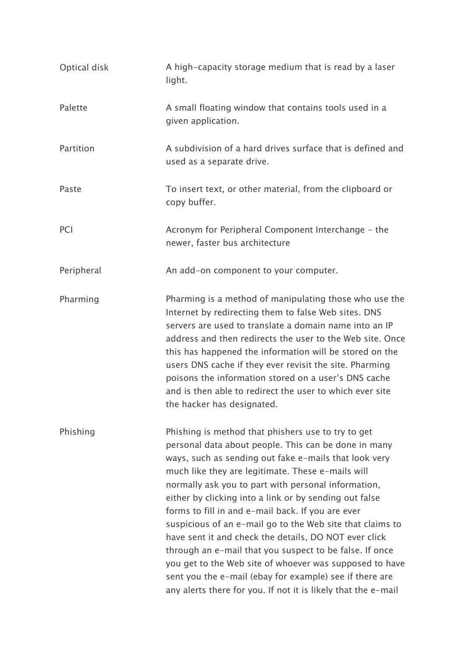| Optical disk | A high-capacity storage medium that is read by a laser<br>light.                                                                                                                                                                                                                                                                                                                                                                                                                                                                                                                                                                                                                                                                                                       |
|--------------|------------------------------------------------------------------------------------------------------------------------------------------------------------------------------------------------------------------------------------------------------------------------------------------------------------------------------------------------------------------------------------------------------------------------------------------------------------------------------------------------------------------------------------------------------------------------------------------------------------------------------------------------------------------------------------------------------------------------------------------------------------------------|
| Palette      | A small floating window that contains tools used in a<br>given application.                                                                                                                                                                                                                                                                                                                                                                                                                                                                                                                                                                                                                                                                                            |
| Partition    | A subdivision of a hard drives surface that is defined and<br>used as a separate drive.                                                                                                                                                                                                                                                                                                                                                                                                                                                                                                                                                                                                                                                                                |
| Paste        | To insert text, or other material, from the clipboard or<br>copy buffer.                                                                                                                                                                                                                                                                                                                                                                                                                                                                                                                                                                                                                                                                                               |
| PCI          | Acronym for Peripheral Component Interchange - the<br>newer, faster bus architecture                                                                                                                                                                                                                                                                                                                                                                                                                                                                                                                                                                                                                                                                                   |
| Peripheral   | An add-on component to your computer.                                                                                                                                                                                                                                                                                                                                                                                                                                                                                                                                                                                                                                                                                                                                  |
| Pharming     | Pharming is a method of manipulating those who use the<br>Internet by redirecting them to false Web sites. DNS<br>servers are used to translate a domain name into an IP<br>address and then redirects the user to the Web site. Once<br>this has happened the information will be stored on the<br>users DNS cache if they ever revisit the site. Pharming<br>poisons the information stored on a user's DNS cache<br>and is then able to redirect the user to which ever site<br>the hacker has designated.                                                                                                                                                                                                                                                          |
| Phishing     | Phishing is method that phishers use to try to get<br>personal data about people. This can be done in many<br>ways, such as sending out fake e-mails that look very<br>much like they are legitimate. These e-mails will<br>normally ask you to part with personal information,<br>either by clicking into a link or by sending out false<br>forms to fill in and e-mail back. If you are ever<br>suspicious of an e-mail go to the Web site that claims to<br>have sent it and check the details, DO NOT ever click<br>through an e-mail that you suspect to be false. If once<br>you get to the Web site of whoever was supposed to have<br>sent you the e-mail (ebay for example) see if there are<br>any alerts there for you. If not it is likely that the e-mail |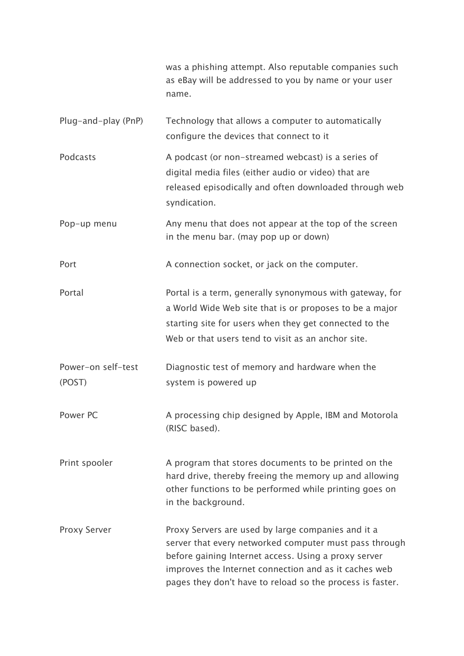|                              | was a phishing attempt. Also reputable companies such<br>as eBay will be addressed to you by name or your user<br>name.                                                                                                                                                                    |
|------------------------------|--------------------------------------------------------------------------------------------------------------------------------------------------------------------------------------------------------------------------------------------------------------------------------------------|
| Plug-and-play (PnP)          | Technology that allows a computer to automatically<br>configure the devices that connect to it                                                                                                                                                                                             |
| Podcasts                     | A podcast (or non-streamed webcast) is a series of<br>digital media files (either audio or video) that are<br>released episodically and often downloaded through web<br>syndication.                                                                                                       |
| Pop-up menu                  | Any menu that does not appear at the top of the screen<br>in the menu bar. (may pop up or down)                                                                                                                                                                                            |
| Port                         | A connection socket, or jack on the computer.                                                                                                                                                                                                                                              |
| Portal                       | Portal is a term, generally synonymous with gateway, for<br>a World Wide Web site that is or proposes to be a major<br>starting site for users when they get connected to the<br>Web or that users tend to visit as an anchor site.                                                        |
| Power-on self-test<br>(POST) | Diagnostic test of memory and hardware when the<br>system is powered up                                                                                                                                                                                                                    |
| Power PC                     | A processing chip designed by Apple, IBM and Motorola<br>(RISC based).                                                                                                                                                                                                                     |
| Print spooler                | A program that stores documents to be printed on the<br>hard drive, thereby freeing the memory up and allowing<br>other functions to be performed while printing goes on<br>in the background.                                                                                             |
| <b>Proxy Server</b>          | Proxy Servers are used by large companies and it a<br>server that every networked computer must pass through<br>before gaining Internet access. Using a proxy server<br>improves the Internet connection and as it caches web<br>pages they don't have to reload so the process is faster. |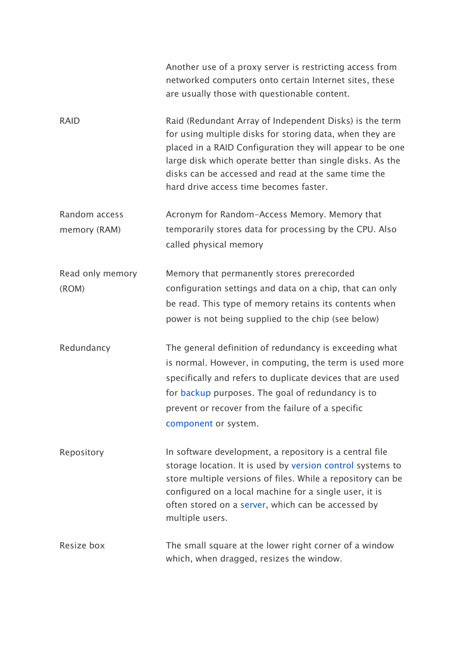|                               | Another use of a proxy server is restricting access from<br>networked computers onto certain Internet sites, these<br>are usually those with questionable content.                                                                                                                                                                             |
|-------------------------------|------------------------------------------------------------------------------------------------------------------------------------------------------------------------------------------------------------------------------------------------------------------------------------------------------------------------------------------------|
| <b>RAID</b>                   | Raid (Redundant Array of Independent Disks) is the term<br>for using multiple disks for storing data, when they are<br>placed in a RAID Configuration they will appear to be one<br>large disk which operate better than single disks. As the<br>disks can be accessed and read at the same time the<br>hard drive access time becomes faster. |
| Random access<br>memory (RAM) | Acronym for Random-Access Memory. Memory that<br>temporarily stores data for processing by the CPU. Also<br>called physical memory                                                                                                                                                                                                             |
| Read only memory<br>(ROM)     | Memory that permanently stores prerecorded<br>configuration settings and data on a chip, that can only<br>be read. This type of memory retains its contents when<br>power is not being supplied to the chip (see below)                                                                                                                        |
| Redundancy                    | The general definition of redundancy is exceeding what<br>is normal. However, in computing, the term is used more<br>specifically and refers to duplicate devices that are used<br>for backup purposes. The goal of redundancy is to<br>prevent or recover from the failure of a specific<br>component or system.                              |
| Repository                    | In software development, a repository is a central file<br>storage location. It is used by version control systems to<br>store multiple versions of files. While a repository can be<br>configured on a local machine for a single user, it is<br>often stored on a server, which can be accessed by<br>multiple users.                        |
| Resize box                    | The small square at the lower right corner of a window<br>which, when dragged, resizes the window.                                                                                                                                                                                                                                             |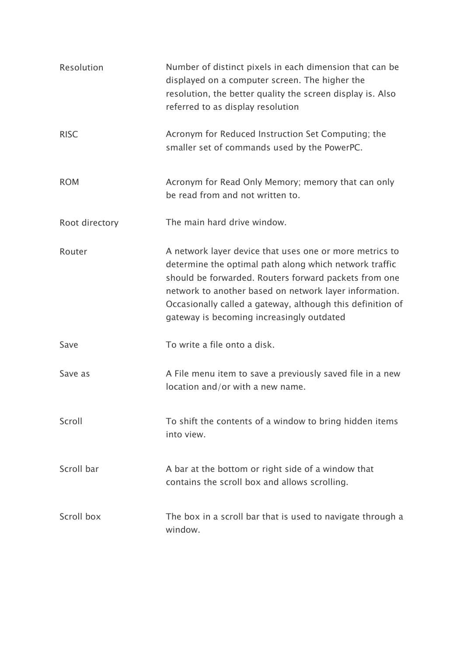| Resolution     | Number of distinct pixels in each dimension that can be<br>displayed on a computer screen. The higher the<br>resolution, the better quality the screen display is. Also<br>referred to as display resolution                                                                                                                                    |
|----------------|-------------------------------------------------------------------------------------------------------------------------------------------------------------------------------------------------------------------------------------------------------------------------------------------------------------------------------------------------|
| <b>RISC</b>    | Acronym for Reduced Instruction Set Computing; the<br>smaller set of commands used by the PowerPC.                                                                                                                                                                                                                                              |
| <b>ROM</b>     | Acronym for Read Only Memory; memory that can only<br>be read from and not written to.                                                                                                                                                                                                                                                          |
| Root directory | The main hard drive window.                                                                                                                                                                                                                                                                                                                     |
| Router         | A network layer device that uses one or more metrics to<br>determine the optimal path along which network traffic<br>should be forwarded. Routers forward packets from one<br>network to another based on network layer information.<br>Occasionally called a gateway, although this definition of<br>gateway is becoming increasingly outdated |
| Save           | To write a file onto a disk.                                                                                                                                                                                                                                                                                                                    |
| Save as        | A File menu item to save a previously saved file in a new<br>location and/or with a new name.                                                                                                                                                                                                                                                   |
| Scroll         | To shift the contents of a window to bring hidden items<br>into view.                                                                                                                                                                                                                                                                           |
| Scroll bar     | A bar at the bottom or right side of a window that<br>contains the scroll box and allows scrolling.                                                                                                                                                                                                                                             |
| Scroll box     | The box in a scroll bar that is used to navigate through a<br>window.                                                                                                                                                                                                                                                                           |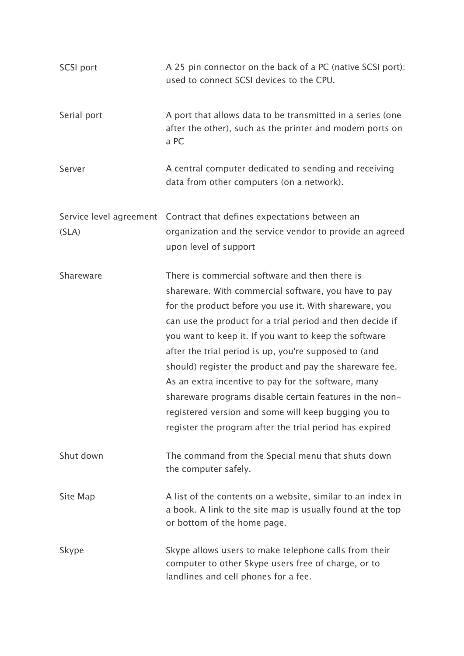| <b>SCSI port</b> | A 25 pin connector on the back of a PC (native SCSI port);<br>used to connect SCSI devices to the CPU.                                                                                                                                                                                                                                                                                                                                                                                                                                                                                                                                          |
|------------------|-------------------------------------------------------------------------------------------------------------------------------------------------------------------------------------------------------------------------------------------------------------------------------------------------------------------------------------------------------------------------------------------------------------------------------------------------------------------------------------------------------------------------------------------------------------------------------------------------------------------------------------------------|
| Serial port      | A port that allows data to be transmitted in a series (one<br>after the other), such as the printer and modem ports on<br>a PC                                                                                                                                                                                                                                                                                                                                                                                                                                                                                                                  |
| Server           | A central computer dedicated to sending and receiving<br>data from other computers (on a network).                                                                                                                                                                                                                                                                                                                                                                                                                                                                                                                                              |
|                  | Service level agreement Contract that defines expectations between an                                                                                                                                                                                                                                                                                                                                                                                                                                                                                                                                                                           |
| (SLA)            | organization and the service vendor to provide an agreed<br>upon level of support                                                                                                                                                                                                                                                                                                                                                                                                                                                                                                                                                               |
| Shareware        | There is commercial software and then there is<br>shareware. With commercial software, you have to pay<br>for the product before you use it. With shareware, you<br>can use the product for a trial period and then decide if<br>you want to keep it. If you want to keep the software<br>after the trial period is up, you're supposed to (and<br>should) register the product and pay the shareware fee.<br>As an extra incentive to pay for the software, many<br>shareware programs disable certain features in the non-<br>registered version and some will keep bugging you to<br>register the program after the trial period has expired |
| Shut down        | The command from the Special menu that shuts down<br>the computer safely.                                                                                                                                                                                                                                                                                                                                                                                                                                                                                                                                                                       |
| Site Map         | A list of the contents on a website, similar to an index in<br>a book. A link to the site map is usually found at the top<br>or bottom of the home page.                                                                                                                                                                                                                                                                                                                                                                                                                                                                                        |
| Skype            | Skype allows users to make telephone calls from their<br>computer to other Skype users free of charge, or to<br>landlines and cell phones for a fee.                                                                                                                                                                                                                                                                                                                                                                                                                                                                                            |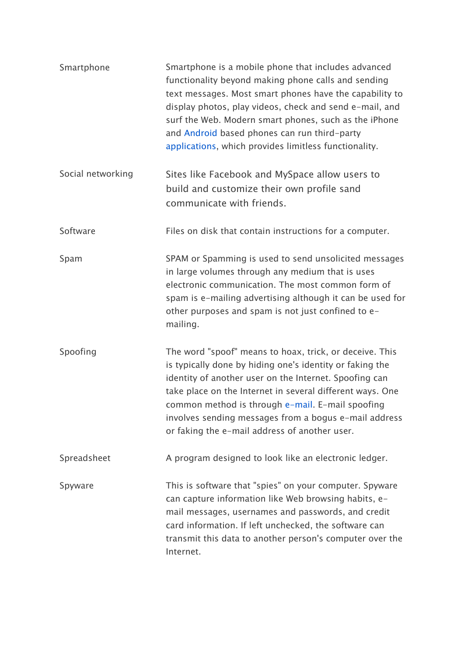| Smartphone        | Smartphone is a mobile phone that includes advanced<br>functionality beyond making phone calls and sending<br>text messages. Most smart phones have the capability to<br>display photos, play videos, check and send e-mail, and<br>surf the Web. Modern smart phones, such as the iPhone<br>and Android based phones can run third-party<br>applications, which provides limitless functionality.       |
|-------------------|----------------------------------------------------------------------------------------------------------------------------------------------------------------------------------------------------------------------------------------------------------------------------------------------------------------------------------------------------------------------------------------------------------|
| Social networking | Sites like Facebook and MySpace allow users to<br>build and customize their own profile sand<br>communicate with friends.                                                                                                                                                                                                                                                                                |
| Software          | Files on disk that contain instructions for a computer.                                                                                                                                                                                                                                                                                                                                                  |
| Spam              | SPAM or Spamming is used to send unsolicited messages<br>in large volumes through any medium that is uses<br>electronic communication. The most common form of<br>spam is e-mailing advertising although it can be used for<br>other purposes and spam is not just confined to e-<br>mailing.                                                                                                            |
| Spoofing          | The word "spoof" means to hoax, trick, or deceive. This<br>is typically done by hiding one's identity or faking the<br>identity of another user on the Internet. Spoofing can<br>take place on the Internet in several different ways. One<br>common method is through e-mail. E-mail spoofing<br>involves sending messages from a bogus e-mail address<br>or faking the e-mail address of another user. |
| Spreadsheet       | A program designed to look like an electronic ledger.                                                                                                                                                                                                                                                                                                                                                    |
| Spyware           | This is software that "spies" on your computer. Spyware<br>can capture information like Web browsing habits, e-<br>mail messages, usernames and passwords, and credit<br>card information. If left unchecked, the software can<br>transmit this data to another person's computer over the<br>Internet.                                                                                                  |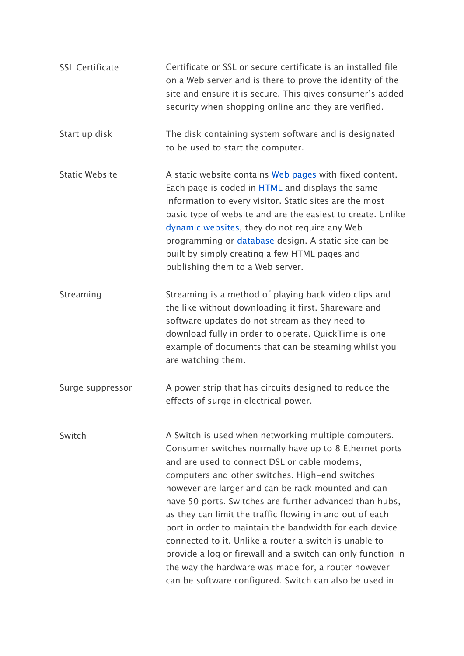| <b>SSL Certificate</b> | Certificate or SSL or secure certificate is an installed file<br>on a Web server and is there to prove the identity of the<br>site and ensure it is secure. This gives consumer's added<br>security when shopping online and they are verified.                                                                                                                                                                                                                                                                                                                                                                                                                                                     |
|------------------------|-----------------------------------------------------------------------------------------------------------------------------------------------------------------------------------------------------------------------------------------------------------------------------------------------------------------------------------------------------------------------------------------------------------------------------------------------------------------------------------------------------------------------------------------------------------------------------------------------------------------------------------------------------------------------------------------------------|
| Start up disk          | The disk containing system software and is designated<br>to be used to start the computer.                                                                                                                                                                                                                                                                                                                                                                                                                                                                                                                                                                                                          |
| <b>Static Website</b>  | A static website contains Web pages with fixed content.<br>Each page is coded in HTML and displays the same<br>information to every visitor. Static sites are the most<br>basic type of website and are the easiest to create. Unlike<br>dynamic websites, they do not require any Web<br>programming or database design. A static site can be<br>built by simply creating a few HTML pages and<br>publishing them to a Web server.                                                                                                                                                                                                                                                                 |
| Streaming              | Streaming is a method of playing back video clips and<br>the like without downloading it first. Shareware and<br>software updates do not stream as they need to<br>download fully in order to operate. QuickTime is one<br>example of documents that can be steaming whilst you<br>are watching them.                                                                                                                                                                                                                                                                                                                                                                                               |
| Surge suppressor       | A power strip that has circuits designed to reduce the<br>effects of surge in electrical power.                                                                                                                                                                                                                                                                                                                                                                                                                                                                                                                                                                                                     |
| Switch                 | A Switch is used when networking multiple computers.<br>Consumer switches normally have up to 8 Ethernet ports<br>and are used to connect DSL or cable modems,<br>computers and other switches. High-end switches<br>however are larger and can be rack mounted and can<br>have 50 ports. Switches are further advanced than hubs,<br>as they can limit the traffic flowing in and out of each<br>port in order to maintain the bandwidth for each device<br>connected to it. Unlike a router a switch is unable to<br>provide a log or firewall and a switch can only function in<br>the way the hardware was made for, a router however<br>can be software configured. Switch can also be used in |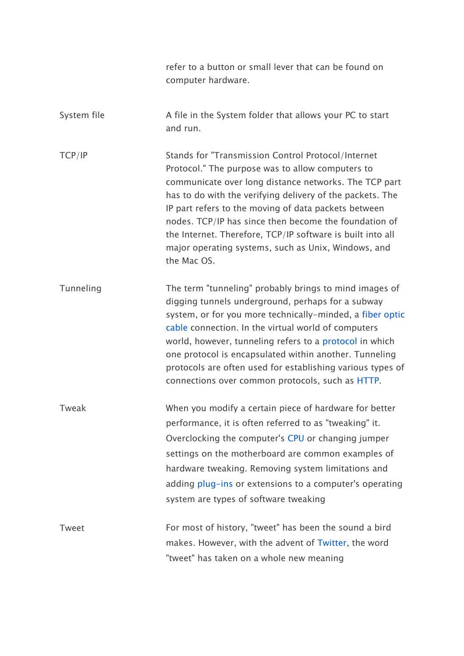|              | refer to a button or small lever that can be found on<br>computer hardware.                                                                                                                                                                                                                                                                                                                                                                                                       |
|--------------|-----------------------------------------------------------------------------------------------------------------------------------------------------------------------------------------------------------------------------------------------------------------------------------------------------------------------------------------------------------------------------------------------------------------------------------------------------------------------------------|
| System file  | A file in the System folder that allows your PC to start<br>and run.                                                                                                                                                                                                                                                                                                                                                                                                              |
| TCP/IP       | Stands for "Transmission Control Protocol/Internet<br>Protocol." The purpose was to allow computers to<br>communicate over long distance networks. The TCP part<br>has to do with the verifying delivery of the packets. The<br>IP part refers to the moving of data packets between<br>nodes. TCP/IP has since then become the foundation of<br>the Internet. Therefore, TCP/IP software is built into all<br>major operating systems, such as Unix, Windows, and<br>the Mac OS. |
| Tunneling    | The term "tunneling" probably brings to mind images of<br>digging tunnels underground, perhaps for a subway<br>system, or for you more technically-minded, a fiber optic<br>cable connection. In the virtual world of computers<br>world, however, tunneling refers to a protocol in which<br>one protocol is encapsulated within another. Tunneling<br>protocols are often used for establishing various types of<br>connections over common protocols, such as HTTP.            |
| Tweak        | When you modify a certain piece of hardware for better<br>performance, it is often referred to as "tweaking" it.<br>Overclocking the computer's CPU or changing jumper<br>settings on the motherboard are common examples of<br>hardware tweaking. Removing system limitations and<br>adding plug-ins or extensions to a computer's operating<br>system are types of software tweaking                                                                                            |
| <b>Tweet</b> | For most of history, "tweet" has been the sound a bird<br>makes. However, with the advent of Twitter, the word<br>"tweet" has taken on a whole new meaning                                                                                                                                                                                                                                                                                                                        |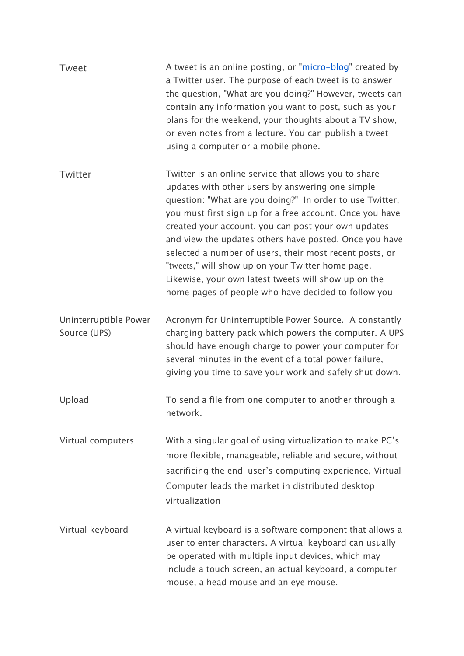| <b>Tweet</b>                          | A tweet is an online posting, or "micro-blog" created by<br>a Twitter user. The purpose of each tweet is to answer<br>the question, "What are you doing?" However, tweets can<br>contain any information you want to post, such as your<br>plans for the weekend, your thoughts about a TV show,<br>or even notes from a lecture. You can publish a tweet<br>using a computer or a mobile phone.                                                                                                                                                                                  |
|---------------------------------------|-----------------------------------------------------------------------------------------------------------------------------------------------------------------------------------------------------------------------------------------------------------------------------------------------------------------------------------------------------------------------------------------------------------------------------------------------------------------------------------------------------------------------------------------------------------------------------------|
| Twitter                               | Twitter is an online service that allows you to share<br>updates with other users by answering one simple<br>question: "What are you doing?" In order to use Twitter,<br>you must first sign up for a free account. Once you have<br>created your account, you can post your own updates<br>and view the updates others have posted. Once you have<br>selected a number of users, their most recent posts, or<br>"tweets," will show up on your Twitter home page.<br>Likewise, your own latest tweets will show up on the<br>home pages of people who have decided to follow you |
| Uninterruptible Power<br>Source (UPS) | Acronym for Uninterruptible Power Source. A constantly<br>charging battery pack which powers the computer. A UPS<br>should have enough charge to power your computer for<br>several minutes in the event of a total power failure,<br>giving you time to save your work and safely shut down.                                                                                                                                                                                                                                                                                     |
| Upload                                | To send a file from one computer to another through a<br>network.                                                                                                                                                                                                                                                                                                                                                                                                                                                                                                                 |
| Virtual computers                     | With a singular goal of using virtualization to make PC's<br>more flexible, manageable, reliable and secure, without<br>sacrificing the end-user's computing experience, Virtual<br>Computer leads the market in distributed desktop<br>virtualization                                                                                                                                                                                                                                                                                                                            |
| Virtual keyboard                      | A virtual keyboard is a software component that allows a<br>user to enter characters. A virtual keyboard can usually<br>be operated with multiple input devices, which may<br>include a touch screen, an actual keyboard, a computer<br>mouse, a head mouse and an eye mouse.                                                                                                                                                                                                                                                                                                     |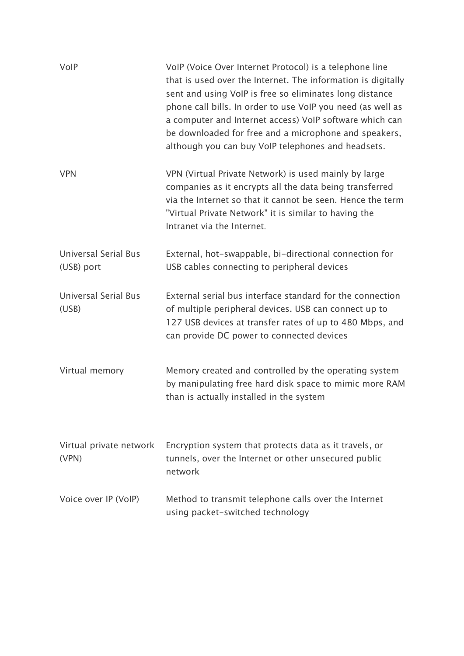| VolP                                      | VoIP (Voice Over Internet Protocol) is a telephone line<br>that is used over the Internet. The information is digitally<br>sent and using VoIP is free so eliminates long distance<br>phone call bills. In order to use VoIP you need (as well as<br>a computer and Internet access) VoIP software which can<br>be downloaded for free and a microphone and speakers,<br>although you can buy VoIP telephones and headsets. |
|-------------------------------------------|-----------------------------------------------------------------------------------------------------------------------------------------------------------------------------------------------------------------------------------------------------------------------------------------------------------------------------------------------------------------------------------------------------------------------------|
| <b>VPN</b>                                | VPN (Virtual Private Network) is used mainly by large<br>companies as it encrypts all the data being transferred<br>via the Internet so that it cannot be seen. Hence the term<br>"Virtual Private Network" it is similar to having the<br>Intranet via the Internet.                                                                                                                                                       |
| <b>Universal Serial Bus</b><br>(USB) port | External, hot-swappable, bi-directional connection for<br>USB cables connecting to peripheral devices                                                                                                                                                                                                                                                                                                                       |
| <b>Universal Serial Bus</b><br>(USB)      | External serial bus interface standard for the connection<br>of multiple peripheral devices. USB can connect up to<br>127 USB devices at transfer rates of up to 480 Mbps, and<br>can provide DC power to connected devices                                                                                                                                                                                                 |
| Virtual memory                            | Memory created and controlled by the operating system<br>by manipulating free hard disk space to mimic more RAM<br>than is actually installed in the system                                                                                                                                                                                                                                                                 |
| Virtual private network<br>(VPN)          | Encryption system that protects data as it travels, or<br>tunnels, over the Internet or other unsecured public<br>network                                                                                                                                                                                                                                                                                                   |
| Voice over IP (VoIP)                      | Method to transmit telephone calls over the Internet<br>using packet-switched technology                                                                                                                                                                                                                                                                                                                                    |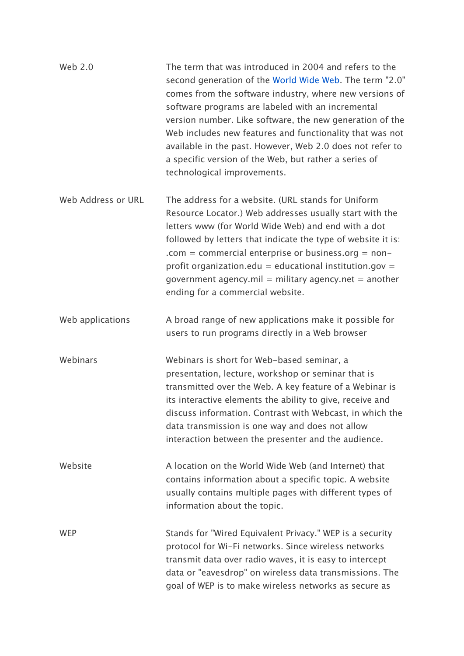| Web 2.0            | The term that was introduced in 2004 and refers to the<br>second generation of the World Wide Web. The term "2.0"<br>comes from the software industry, where new versions of<br>software programs are labeled with an incremental<br>version number. Like software, the new generation of the<br>Web includes new features and functionality that was not<br>available in the past. However, Web 2.0 does not refer to<br>a specific version of the Web, but rather a series of<br>technological improvements. |
|--------------------|----------------------------------------------------------------------------------------------------------------------------------------------------------------------------------------------------------------------------------------------------------------------------------------------------------------------------------------------------------------------------------------------------------------------------------------------------------------------------------------------------------------|
| Web Address or URL | The address for a website. (URL stands for Uniform<br>Resource Locator.) Web addresses usually start with the<br>letters www (for World Wide Web) and end with a dot<br>followed by letters that indicate the type of website it is:<br>.com = commercial enterprise or business.org = $non-$<br>profit organization.edu = educational institution.gov =<br>government agency.mil = military agency.net = another<br>ending for a commercial website.                                                          |
| Web applications   | A broad range of new applications make it possible for<br>users to run programs directly in a Web browser                                                                                                                                                                                                                                                                                                                                                                                                      |
| Webinars           | Webinars is short for Web-based seminar, a<br>presentation, lecture, workshop or seminar that is<br>transmitted over the Web. A key feature of a Webinar is<br>its interactive elements the ability to give, receive and<br>discuss information. Contrast with Webcast, in which the<br>data transmission is one way and does not allow<br>interaction between the presenter and the audience.                                                                                                                 |
| Website            | A location on the World Wide Web (and Internet) that<br>contains information about a specific topic. A website<br>usually contains multiple pages with different types of<br>information about the topic.                                                                                                                                                                                                                                                                                                      |
| <b>WEP</b>         | Stands for "Wired Equivalent Privacy." WEP is a security<br>protocol for Wi-Fi networks. Since wireless networks<br>transmit data over radio waves, it is easy to intercept<br>data or "eavesdrop" on wireless data transmissions. The<br>goal of WEP is to make wireless networks as secure as                                                                                                                                                                                                                |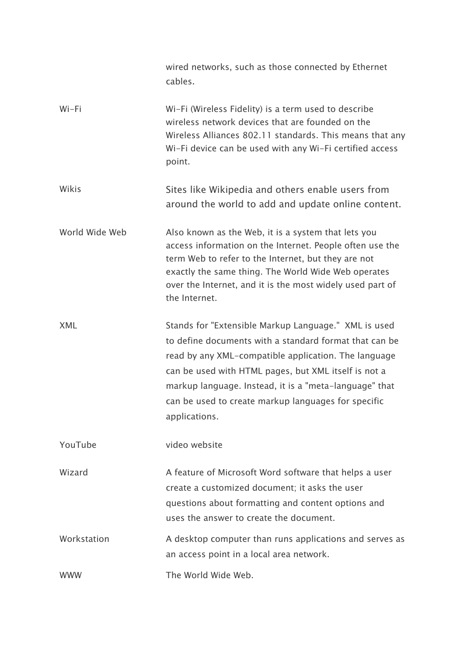|                | wired networks, such as those connected by Ethernet<br>cables.                                                                                                                                                                                                                                                                                                   |
|----------------|------------------------------------------------------------------------------------------------------------------------------------------------------------------------------------------------------------------------------------------------------------------------------------------------------------------------------------------------------------------|
| Wi-Fi          | Wi-Fi (Wireless Fidelity) is a term used to describe<br>wireless network devices that are founded on the<br>Wireless Alliances 802.11 standards. This means that any<br>Wi-Fi device can be used with any Wi-Fi certified access<br>point.                                                                                                                       |
| Wikis          | Sites like Wikipedia and others enable users from<br>around the world to add and update online content.                                                                                                                                                                                                                                                          |
| World Wide Web | Also known as the Web, it is a system that lets you<br>access information on the Internet. People often use the<br>term Web to refer to the Internet, but they are not<br>exactly the same thing. The World Wide Web operates<br>over the Internet, and it is the most widely used part of<br>the Internet.                                                      |
| <b>XML</b>     | Stands for "Extensible Markup Language." XML is used<br>to define documents with a standard format that can be<br>read by any XML-compatible application. The language<br>can be used with HTML pages, but XML itself is not a<br>markup language. Instead, it is a "meta-language" that<br>can be used to create markup languages for specific<br>applications. |
| YouTube        | video website                                                                                                                                                                                                                                                                                                                                                    |
| Wizard         | A feature of Microsoft Word software that helps a user<br>create a customized document; it asks the user<br>questions about formatting and content options and<br>uses the answer to create the document.                                                                                                                                                        |
| Workstation    | A desktop computer than runs applications and serves as<br>an access point in a local area network.                                                                                                                                                                                                                                                              |
| <b>WWW</b>     | The World Wide Web.                                                                                                                                                                                                                                                                                                                                              |